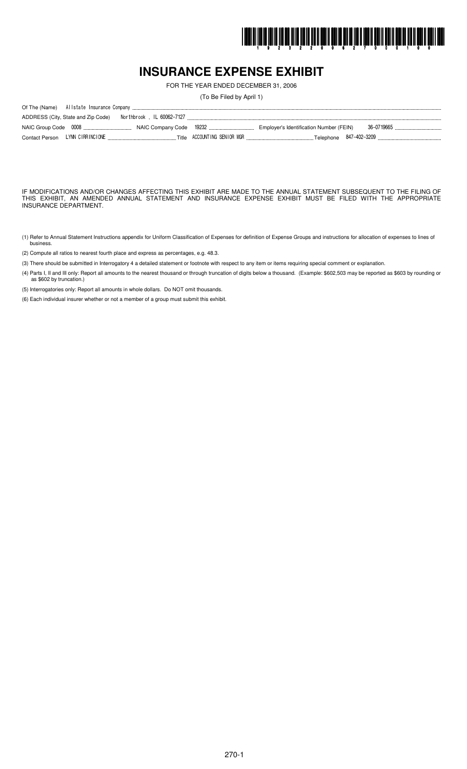

## **INSURANCE EXPENSE EXHIBIT**

FOR THE YEAR ENDED DECEMBER 31, 2006

(To Be Filed by April 1)

| ADDRESS (City, State and Zip Code) |  |                                                                                                                                      |
|------------------------------------|--|--------------------------------------------------------------------------------------------------------------------------------------|
|                                    |  |                                                                                                                                      |
|                                    |  | Contact Person LYNN CIRRINCIONE ……………………………………………Title ACCOUNTING SENIOR MGR …………………………………………Telephone 847-402-3209 ………………………………………… |

IF MODIFICATIONS AND/OR CHANGES AFFECTING THIS EXHIBIT ARE MADE TO THE ANNUAL STATEMENT SUBSEQUENT TO THE FILING OF THIS EXHIBIT, AN AMENDED ANNUAL STATEMENT AND INSURANCE EXPENSE EXHIBIT MUST BE FILED WITH THE APPROPRIATE INSURANCE DEPARTMENT.

- (1) Refer to Annual Statement Instructions appendix for Uniform Classification of Expenses for definition of Expense Groups and instructions for allocation of expenses to lines of busines.
- (2) Compute all ratios to nearest fourth place and express as percentages, e.g. 48.3.
- (3) There should be submitted in Interrogatory 4 a detailed statement or footnote with respect to any item or items requiring special comment or explanation.
- (4) Parts I, II and III only: Report all amounts to the nearest thousand or through truncation of digits below a thousand. (Example: \$602,503 may be reported as \$603 by rounding or as \$602 by truncation.)

(5) Interrogatories only: Report all amounts in whole dollars. Do NOT omit thousands.

(6) Each individual insurer whether or not a member of a group must submit this exhibit.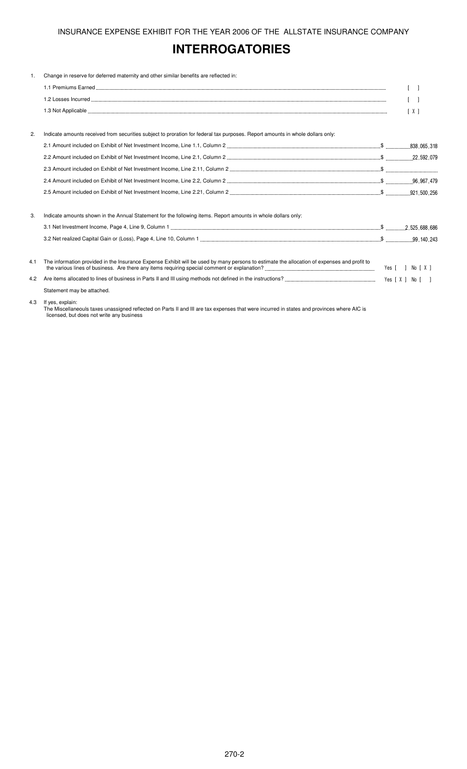## **INTERROGATORIES**

| 1.  | Change in reserve for deferred maternity and other similar benefits are reflected in:                                                       |            |
|-----|---------------------------------------------------------------------------------------------------------------------------------------------|------------|
|     |                                                                                                                                             |            |
|     |                                                                                                                                             |            |
|     |                                                                                                                                             | $\sqrt{2}$ |
| 2.  | Indicate amounts received from securities subject to proration for federal tax purposes. Report amounts in whole dollars only:              |            |
|     |                                                                                                                                             |            |
|     |                                                                                                                                             |            |
|     |                                                                                                                                             |            |
|     |                                                                                                                                             |            |
|     |                                                                                                                                             |            |
| 3.  | Indicate amounts shown in the Annual Statement for the following items. Report amounts in whole dollars only:                               |            |
|     |                                                                                                                                             |            |
|     |                                                                                                                                             |            |
| 4.1 | The information provided in the Insurance Expense Exhibit will be used by many persons to estimate the allocation of expenses and profit to |            |
| 4.2 |                                                                                                                                             |            |
|     | Statement may be attached.                                                                                                                  |            |
| 4.3 | If yes, explain:                                                                                                                            |            |

The Miscellaneouls taxes unassigned reflected on Parts II and III are tax expenses that were incurred in states and provinces where AIC is licensed, but does not write any business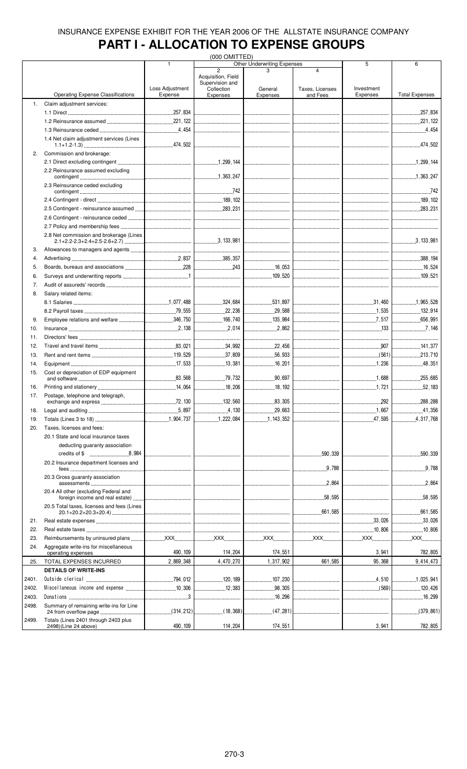# **PART I - ALLOCATION TO EXPENSE GROUPS**

|       |                                                                                                                                                                                                                                                                                                                                                                                                                                                                                                                                        |                 | (000 OMITTED)                                       |                                   |                                        |                                     |                       |
|-------|----------------------------------------------------------------------------------------------------------------------------------------------------------------------------------------------------------------------------------------------------------------------------------------------------------------------------------------------------------------------------------------------------------------------------------------------------------------------------------------------------------------------------------------|-----------------|-----------------------------------------------------|-----------------------------------|----------------------------------------|-------------------------------------|-----------------------|
|       |                                                                                                                                                                                                                                                                                                                                                                                                                                                                                                                                        | $\mathbf{1}$    | $\overline{2}$                                      | Other Underwriting Expenses       | $\overline{\mathbf{A}}$                | 5                                   | 6                     |
|       |                                                                                                                                                                                                                                                                                                                                                                                                                                                                                                                                        | Loss Adjustment | Acquisition, Field<br>Supervision and<br>Collection | General                           | Taxes, Licenses                        | Investment                          |                       |
|       | <b>Operating Expense Classifications</b>                                                                                                                                                                                                                                                                                                                                                                                                                                                                                               | Expense         | Expenses                                            | Expenses                          | and Fees                               | Expenses                            | <b>Total Expenses</b> |
| 1.    | Claim adjustment services:                                                                                                                                                                                                                                                                                                                                                                                                                                                                                                             |                 |                                                     |                                   |                                        |                                     |                       |
|       |                                                                                                                                                                                                                                                                                                                                                                                                                                                                                                                                        |                 |                                                     |                                   |                                        |                                     | 257,834               |
|       |                                                                                                                                                                                                                                                                                                                                                                                                                                                                                                                                        |                 |                                                     |                                   |                                        |                                     | 221, 122              |
|       |                                                                                                                                                                                                                                                                                                                                                                                                                                                                                                                                        |                 |                                                     |                                   |                                        |                                     |                       |
|       | 1.4 Net claim adjustment services (Lines                                                                                                                                                                                                                                                                                                                                                                                                                                                                                               |                 |                                                     |                                   |                                        |                                     |                       |
| 2.    | Commission and brokerage:                                                                                                                                                                                                                                                                                                                                                                                                                                                                                                              |                 |                                                     |                                   |                                        |                                     |                       |
|       | 2.2 Reinsurance assumed excluding                                                                                                                                                                                                                                                                                                                                                                                                                                                                                                      |                 |                                                     |                                   |                                        |                                     |                       |
|       |                                                                                                                                                                                                                                                                                                                                                                                                                                                                                                                                        |                 |                                                     |                                   |                                        |                                     |                       |
|       | 2.3 Reinsurance ceded excluding                                                                                                                                                                                                                                                                                                                                                                                                                                                                                                        |                 |                                                     |                                   |                                        |                                     |                       |
|       |                                                                                                                                                                                                                                                                                                                                                                                                                                                                                                                                        |                 |                                                     |                                   | _________________________________      |                                     |                       |
|       |                                                                                                                                                                                                                                                                                                                                                                                                                                                                                                                                        |                 |                                                     |                                   |                                        |                                     |                       |
|       |                                                                                                                                                                                                                                                                                                                                                                                                                                                                                                                                        |                 |                                                     |                                   |                                        |                                     |                       |
|       |                                                                                                                                                                                                                                                                                                                                                                                                                                                                                                                                        |                 |                                                     |                                   |                                        |                                     |                       |
|       | 2.8 Net commission and brokerage (Lines                                                                                                                                                                                                                                                                                                                                                                                                                                                                                                |                 |                                                     |                                   |                                        |                                     |                       |
|       |                                                                                                                                                                                                                                                                                                                                                                                                                                                                                                                                        |                 |                                                     |                                   |                                        | the contract of the contract of the | 3, 133, 981           |
| 3.    |                                                                                                                                                                                                                                                                                                                                                                                                                                                                                                                                        |                 |                                                     |                                   |                                        |                                     |                       |
| 4.    |                                                                                                                                                                                                                                                                                                                                                                                                                                                                                                                                        |                 |                                                     |                                   |                                        |                                     |                       |
| 5.    |                                                                                                                                                                                                                                                                                                                                                                                                                                                                                                                                        |                 |                                                     |                                   |                                        |                                     |                       |
| 6.    |                                                                                                                                                                                                                                                                                                                                                                                                                                                                                                                                        |                 |                                                     |                                   |                                        |                                     |                       |
| 7.    |                                                                                                                                                                                                                                                                                                                                                                                                                                                                                                                                        |                 |                                                     |                                   |                                        |                                     |                       |
| 8.    | Salary related items:                                                                                                                                                                                                                                                                                                                                                                                                                                                                                                                  |                 |                                                     |                                   |                                        |                                     |                       |
|       |                                                                                                                                                                                                                                                                                                                                                                                                                                                                                                                                        |                 |                                                     |                                   |                                        |                                     | 1,965,528             |
|       |                                                                                                                                                                                                                                                                                                                                                                                                                                                                                                                                        |                 |                                                     |                                   |                                        | 1,535                               | $\frac{132}{914}$     |
|       |                                                                                                                                                                                                                                                                                                                                                                                                                                                                                                                                        |                 |                                                     |                                   |                                        |                                     |                       |
| 9.    |                                                                                                                                                                                                                                                                                                                                                                                                                                                                                                                                        |                 | 166,740                                             | 135,984                           |                                        |                                     | 656,991               |
| 10.   |                                                                                                                                                                                                                                                                                                                                                                                                                                                                                                                                        |                 | 2.014                                               | 2,862                             |                                        | $\frac{133}{200}$                   | $\frac{1}{2}$ . 146   |
| 11.   |                                                                                                                                                                                                                                                                                                                                                                                                                                                                                                                                        |                 |                                                     |                                   |                                        | ------------------------------      |                       |
| 12.   |                                                                                                                                                                                                                                                                                                                                                                                                                                                                                                                                        |                 | 34,992                                              | 22,456                            |                                        |                                     | $\frac{1}{2}$ 141,377 |
| 13.   |                                                                                                                                                                                                                                                                                                                                                                                                                                                                                                                                        |                 | 37,809                                              | 56,933                            |                                        |                                     | 213,710               |
| 14.   |                                                                                                                                                                                                                                                                                                                                                                                                                                                                                                                                        |                 | 13,381                                              | 16,201                            |                                        | 1,236                               | 48,351                |
| 15.   | Cost or depreciation of EDP equipment                                                                                                                                                                                                                                                                                                                                                                                                                                                                                                  |                 |                                                     |                                   |                                        |                                     |                       |
|       |                                                                                                                                                                                                                                                                                                                                                                                                                                                                                                                                        |                 |                                                     |                                   |                                        | 1,688                               | 255,685               |
| 16.   |                                                                                                                                                                                                                                                                                                                                                                                                                                                                                                                                        |                 |                                                     | 18, 192                           |                                        | 1,721                               | 52,183                |
| 17.   | Postage, telephone and telegraph,                                                                                                                                                                                                                                                                                                                                                                                                                                                                                                      |                 |                                                     |                                   |                                        |                                     |                       |
|       |                                                                                                                                                                                                                                                                                                                                                                                                                                                                                                                                        |                 |                                                     | .83,305<br>.                      |                                        | .292                                | .288, 288             |
| 18.   |                                                                                                                                                                                                                                                                                                                                                                                                                                                                                                                                        |                 | 4,130                                               | .29,663<br>.                      |                                        | 1,667                               |                       |
| 19.   |                                                                                                                                                                                                                                                                                                                                                                                                                                                                                                                                        |                 | 1,222,084                                           | 1, 143, 352                       |                                        | 47,595                              | 4,317,768             |
| 20.   | Taxes, licenses and fees:                                                                                                                                                                                                                                                                                                                                                                                                                                                                                                              |                 |                                                     |                                   |                                        |                                     |                       |
|       | 20.1 State and local insurance taxes                                                                                                                                                                                                                                                                                                                                                                                                                                                                                                   |                 |                                                     |                                   |                                        |                                     |                       |
|       | deducting guaranty association                                                                                                                                                                                                                                                                                                                                                                                                                                                                                                         |                 |                                                     |                                   |                                        |                                     |                       |
|       |                                                                                                                                                                                                                                                                                                                                                                                                                                                                                                                                        |                 |                                                     |                                   | .590,339<br>.                          |                                     | .590,339              |
|       | 20.2 Insurance department licenses and                                                                                                                                                                                                                                                                                                                                                                                                                                                                                                 |                 |                                                     |                                   |                                        |                                     |                       |
|       | 20.3 Gross quaranty association                                                                                                                                                                                                                                                                                                                                                                                                                                                                                                        |                 |                                                     |                                   | .9,788                                 |                                     | 9,788                 |
|       | 20.4 All other (excluding Federal and                                                                                                                                                                                                                                                                                                                                                                                                                                                                                                  |                 |                                                     |                                   | .2.864                                 |                                     | 2,864                 |
|       | 20.5 Total taxes, licenses and fees (Lines                                                                                                                                                                                                                                                                                                                                                                                                                                                                                             |                 |                                                     | _________________________________ | 58.595                                 | ------------------------            | .58,595<br>.          |
|       |                                                                                                                                                                                                                                                                                                                                                                                                                                                                                                                                        |                 |                                                     |                                   |                                        |                                     | .661.585<br>.         |
| 21.   |                                                                                                                                                                                                                                                                                                                                                                                                                                                                                                                                        |                 |                                                     |                                   |                                        | 33,026                              | 33,026                |
| 22.   |                                                                                                                                                                                                                                                                                                                                                                                                                                                                                                                                        |                 |                                                     |                                   | <br> --------------------------------- |                                     |                       |
|       |                                                                                                                                                                                                                                                                                                                                                                                                                                                                                                                                        |                 |                                                     |                                   |                                        |                                     | $$ XXX $$             |
| 23.   |                                                                                                                                                                                                                                                                                                                                                                                                                                                                                                                                        |                 |                                                     |                                   |                                        |                                     |                       |
| 24.   | Aggregate write-ins for miscellaneous<br>operating expenses                                                                                                                                                                                                                                                                                                                                                                                                                                                                            | 490, 109        | 114,204                                             | 174,551                           |                                        | 3,941                               | 782,805               |
| 25.   | TOTAL EXPENSES INCURRED                                                                                                                                                                                                                                                                                                                                                                                                                                                                                                                | 2,869,348       | 4,470,270                                           | 1,317,902                         | 661,585                                | 95,368                              | 9,414,473             |
|       | <b>DETAILS OF WRITE-INS</b>                                                                                                                                                                                                                                                                                                                                                                                                                                                                                                            |                 |                                                     |                                   |                                        |                                     |                       |
|       |                                                                                                                                                                                                                                                                                                                                                                                                                                                                                                                                        |                 |                                                     |                                   |                                        |                                     |                       |
| 2401. |                                                                                                                                                                                                                                                                                                                                                                                                                                                                                                                                        |                 |                                                     |                                   |                                        | .4.510                              | 1,025,941             |
| 2402. |                                                                                                                                                                                                                                                                                                                                                                                                                                                                                                                                        |                 | 12,383                                              |                                   |                                        |                                     |                       |
| 2403. | $\begin{minipage}{0.9\linewidth} \textbf{Donations} \end{minipage} \begin{minipage}{0.9\linewidth} \textbf{Dona} \textbf{t ions} \end{minipage} \begin{minipage}{0.9\linewidth} \textbf{Down} \end{minipage} \begin{minipage}{0.9\linewidth} \textbf{Down} \end{minipage} \begin{minipage}{0.9\linewidth} \textbf{Down} \end{minipage} \begin{minipage}{0.9\linewidth} \textbf{Down} \end{minipage} \begin{minipage}{0.9\linewidth} \textbf{Down} \end{minipage} \begin{minipage}{0.9\linewidth} \textbf{Down} \end{minipage} \begin{$ |                 |                                                     | 16,296                            |                                        |                                     | 16,299                |
| 2498. | Summary of remaining write-ins for Line                                                                                                                                                                                                                                                                                                                                                                                                                                                                                                |                 |                                                     |                                   |                                        |                                     |                       |
| 2499. | Totals (Lines 2401 through 2403 plus<br>2498)(Line 24 above)                                                                                                                                                                                                                                                                                                                                                                                                                                                                           | 490, 109        | 114,204                                             | 174,551                           |                                        | 3,941                               | 782,805               |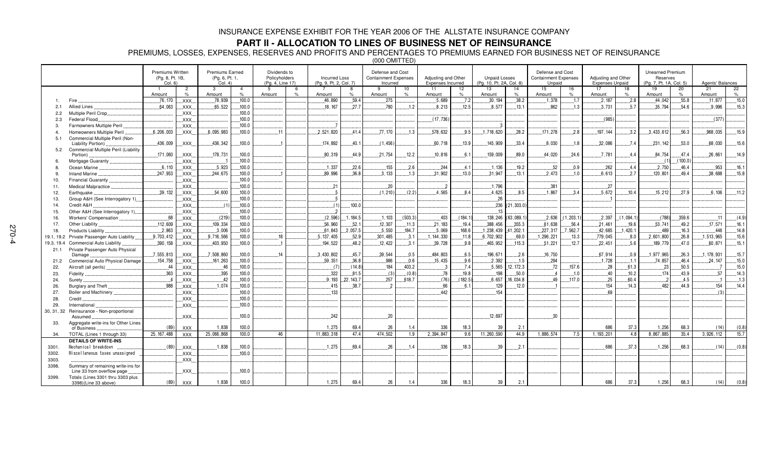### **PART II - ALLOCATION TO LINES OF BUSINESS NET OF REINSURANCE**

PREMIUMS, LOSSES, EXPENSES, RESERVES AND PROFITS AND PERCENTAGES TO PREMIUMS EARNED FOR BUSINESS NET OF REINSURANCE

(000 OMITTED)

|                |                                                                  | Premiums Written<br>(Pg. 8, Pt. 1B, |                     | <b>Premiums Earned</b><br>(Pg. 6, Pt. 1, |                        | Dividends to<br>Policyholders |         | <b>Incurred Loss</b>   |                     | Defense and Cost<br><b>Containment Expenses</b> |            | Adjusting and Other        |                         | <b>Unpaid Losses</b>     |             | Defense and Cost<br><b>Containment Expenses</b> |            | Adjusting and Other    |            | <b>Unearned Premium</b><br>Reserves |                     |                  |         |
|----------------|------------------------------------------------------------------|-------------------------------------|---------------------|------------------------------------------|------------------------|-------------------------------|---------|------------------------|---------------------|-------------------------------------------------|------------|----------------------------|-------------------------|--------------------------|-------------|-------------------------------------------------|------------|------------------------|------------|-------------------------------------|---------------------|------------------|---------|
|                |                                                                  | Col. 6                              |                     | Col. 4                                   |                        | (Pa. 4. Line 17)              |         | (Pa. 9. Pt. 2. Col. 7) |                     | Incurred                                        |            | <b>Expenses Incurred</b>   |                         | (Pg. 10, Pt. 2A, Col. 8) |             | Unpaid                                          |            | <b>Expenses Unpaid</b> |            | (Pg. 7, Pt. 1A, Col. 5)             |                     | Agents' Balances |         |
|                |                                                                  | Amount                              | $\overline{2}$<br>% | $\mathbf{3}$<br>Amount                   | $\overline{4}$<br>$\%$ | -5<br>Amount                  | $\circ$ | Amount                 | -8<br>$\frac{1}{2}$ | 9<br>Amount                                     | 10<br>$\%$ | 11<br>Amount               | 12 <sup>2</sup><br>$\%$ | 13<br>Amount             | 14<br>$\%$  | 15<br>Amount                                    | 16<br>%    | 17<br>Amount           | 18<br>$\%$ | 19<br>Amount                        | 20<br>$\frac{9}{6}$ | 21<br>Amount     | 22<br>% |
|                | Fire                                                             | .76, 170                            | XXX.                | 78,939                                   | .100.0                 |                               |         | .46,890                | .59.4               | .275                                            |            | .5,689                     | 7.2                     | .30.194                  | .38.2       | .1,378                                          | .1.7       | .2.187                 | .2.8       | .44,042                             | .55.8               | .11,877          | .15.0   |
| 2.1            | Allied Lines                                                     | .64,063                             | XXX.                | .65,522                                  | .100.0                 |                               |         | .18,167                | 27.7                | .780                                            | .1.2       | .8,213                     | .12.5                   | .8,577                   | .13.1       | .862                                            | .1.3       | .3.731                 | .5.7       | .35,794                             | .54.6               | .9.996           | .15.3   |
| 2.2            | Multiple Peril Crop                                              |                                     | XXX.                |                                          | 100.0                  |                               |         |                        |                     |                                                 |            |                            |                         |                          |             |                                                 |            |                        |            |                                     |                     |                  |         |
| 2.3            | Federal Flood.                                                   |                                     | XXX.                |                                          | .100.0                 |                               |         |                        |                     |                                                 |            | (17,736)                   |                         |                          |             |                                                 |            | (985)                  |            |                                     |                     | (377)            |         |
| $\mathcal{R}$  | Farmowners Multiple Peril                                        |                                     | XXX.                |                                          | .100.0                 |                               |         |                        |                     |                                                 |            |                            |                         | -3                       |             |                                                 |            |                        |            |                                     |                     |                  |         |
| $\overline{a}$ | Homeowners Multiple Peril                                        | .6, 206, 003                        | .XXX.               | 6.095.983                                | 100.0                  | 11                            |         | 2.521.820              | 41.4                | .77.170                                         | 1.3        | 578,632                    | 9.5                     | 1.718.620                | .28.2       | .171.278                                        | .2.8       | 197.144                | .3.2       | .3.433.612                          | 56.3                | 968.035          | 15.9    |
| 5.1            | Commercial Multiple Peril (Non-                                  |                                     |                     |                                          |                        |                               |         |                        |                     |                                                 |            |                            |                         |                          |             |                                                 |            |                        |            |                                     |                     |                  |         |
|                | Liability Portion)                                               | .436,009                            | XXX.                | .436,342                                 | .100.0                 |                               |         | 174,892                | 40.1                | (1.456)                                         |            | .60,718                    | .13.9                   | 145,909                  | .33.4       | .8,030                                          | .1.8       | .32,086                | .7.4       | 231, 142                            | .53.0               | .68,030          | 15.6    |
| 5.2            | Commercial Multiple Peril (Liability                             |                                     |                     |                                          |                        |                               |         |                        |                     |                                                 |            |                            |                         |                          |             |                                                 |            |                        |            |                                     |                     |                  |         |
|                | Portion)                                                         | .171,060                            | XXX.                | .178,731                                 | .100.0                 |                               |         | 80,319                 | .44.9               | .21,754                                         | .12.2      | 10,816                     | .6.1                    | .159,009                 | .89.0       | .44,020                                         | .24.6      | .7.781                 | .4.4       | .84,754                             | .47.4               | .26,661          | 14.9    |
| 6              | Mortgage Guaranty                                                |                                     | XXX.                |                                          | .100.0                 |                               |         |                        |                     |                                                 |            |                            |                         |                          |             |                                                 |            |                        |            |                                     | (100.0)             |                  |         |
| 8.             | Ocean Marine                                                     | 6,110                               | XXX.                | .5,923                                   | .100.0                 |                               |         | 1,337                  | .22.6               | .155                                            | .2.6       | .244                       | 4.1                     | .1.136                   | .19.2       | .52                                             | .0.9       | .262                   | .4.4       | .2,750                              | .46.4               | .953             | .16.1   |
| 9              | <b>Inland Marine</b>                                             | .247,953                            | XXX.                | 244.675                                  | .100.0                 |                               |         | .89,996                | 36.8                | .3.133                                          | .1.3       | .31,902                    | 13.0                    | .31.947                  | .13.1       | 2.473                                           | .1.0       | 6.613                  | .2.7       | .120.801                            | .49.4               | .38,688          | .15.8   |
| 10.            | Financial Guaranty.                                              |                                     | .XXX.               |                                          | .100.0                 |                               |         |                        |                     |                                                 |            |                            |                         |                          |             |                                                 |            |                        |            |                                     |                     |                  |         |
| 11.            | Medical Malpractice                                              |                                     | XXX.                |                                          | .100.0                 |                               |         | 21                     |                     | .20                                             |            | $\ldots$                   |                         | 1.796                    |             | .381                                            |            | .27                    |            |                                     |                     |                  |         |
| 12.            | Earthquake                                                       | .39.132                             | .XXX.               | .54.600                                  | .100.0                 |                               |         | 5                      |                     | (1.210)                                         | (2.2)      | 4.565                      | 8.4                     | 4.625                    | 8.5         | .1.867                                          | 3.4        | 5.672                  | .10.4      | .15.212                             | 27.9                | 6.106            | .11.2   |
| 13.            | Group A&H (See Interrogatory 1)                                  |                                     | XXX.                |                                          | 100.0                  |                               |         | $\overline{5}$         |                     |                                                 |            |                            |                         | 26                       |             |                                                 |            |                        |            |                                     |                     |                  |         |
| 14.            | Credit A&H                                                       |                                     | XXX.                | (1)                                      | 100.0                  |                               |         | (1)                    | 100.0               |                                                 |            |                            |                         | 236                      | (21, 303.0) |                                                 |            |                        |            |                                     |                     |                  |         |
| 15.            | Other A&H (See Interrogatory 1).                                 |                                     | XXX.                |                                          | 100.0                  |                               |         |                        |                     |                                                 |            |                            |                         | 13                       |             |                                                 |            |                        |            |                                     |                     |                  |         |
| 16.            | Workers' Compensation                                            | 68                                  | XXX.                | (219)                                    | 100.0                  |                               |         | (2, 596)               | 1.184.5             | .1,103                                          | (503.3)    | .403                       | (184.1)                 | 138,246                  | (63, 089.1) | .2,636                                          | (1, 203.1) | 2,397                  | (1,094.1)  | (788)                               | 359.6               | $-11$            | (4.9)   |
| 17.            | Other Liability                                                  | .112,609                            | XXX.                | 109,334                                  | 100.0                  |                               |         | 56,960                 | .52.1               | .12,307                                         | .11.3      | .21,183                    | 19.4                    | .388,456                 | .355.3      | .61,638                                         | .56.4      | .21,461                | 19.6       | .53,741                             | 49.2                | .17,571          | 16.1    |
| 18.            | Products Liability                                               | .2,863                              | XXX.                | 3,006                                    | .100.0                 |                               |         | .61,843                | .2,057.5            | .5,550                                          | .184.7     | .5,069                     | 168.6                   | .1,238,439               | 41,202.1    | .227,317                                        | 7,562.7    | .42,685                | .1,420.1   | 489                                 | 16.3                | .446             | 14.8    |
| 19.1, 19.2     | Private Passenger Auto Liability                                 | 9,703,412                           | XXX.                | .9,716,566                               | .100.0                 | 18                            |         | 5, 137, 405            | .52.9               | .301,485                                        | .3.1       | .144,330                   | .11.8                   | 6,702,902                | .69.0       | 1,296,221                                       | .13.3      | .779,045               | .8.0       | .2,601,800                          | .26.8               | 1,513,965        | .15.6   |
| 19.3, 19.4     | Commercial Auto Liability                                        | .390, 158                           | XXX.                | .403,950                                 | 100.0                  |                               |         | 194,522                | .48.2               | .12,422                                         | .3.1       | .39,728                    | .9.8                    | .465,952                 | .115.3      | .51,221                                         | .12.7      | .22,451                | .5.6       | .189,779                            | .47.0               | .60, 871         | .15.1   |
| 21.1           | Private Passenger Auto Physical                                  |                                     |                     |                                          |                        |                               |         |                        |                     |                                                 |            |                            |                         |                          |             |                                                 |            |                        |            |                                     |                     |                  |         |
|                | Damage                                                           | 7,555,813                           | XXX.                | 7,508,860                                | 100.0                  | 14                            |         | 3,430,802              | 45.7                | .39,544                                         | 0.5        | 484,803                    | 6.5                     | 196.671                  | .2.6        | 16.750                                          |            | 67.914                 | 0.9        | 1,977,965                           | 26.3                | , 178, 931       | 15.7    |
| 21.2           | Commercial Auto Physical Damage                                  | 154,758                             | XXX.                | .161,263                                 | .100.0                 |                               |         | 59,351                 | 36.8                | .986                                            | .0.6       | .15,435                    | .9.6                    | 2,392                    | .1.5        | 294                                             |            | .1,728                 | .1.1       | 74,857                              | 46.4                | .24.147          | .15.0   |
| 22.            | Aircraft (all perils)                                            | .44                                 | XXX.                | .46                                      | .100.0                 |                               |         | (7)                    | (14.8)              | 184                                             | 403.2      | $\overline{\phantom{0}}$ . | .7.4                    | .5.565                   | 12, 172.3   | 72                                              | 157.6      | .28                    | .61.3      | .23                                 | 50.5                |                  | .15.0   |
| 23.            | Fidelity                                                         | .363                                | XXX.                | .395                                     | .100.0                 |                               |         | .322                   | .81.5               | (3)                                             | (0.8)      | .78                        | 19.8                    | .198                     | .50.0       | $\overline{4}$                                  | .1.0       | .40                    | .10.2      | .174                                | 43.9                | 57               | .14.3   |
| 24.            | Surety                                                           | $-4$                                | XXX.                | .42                                      | .100.0                 |                               |         | .9.193                 | .22, 143.7          | .257                                            | .618.7     | (76)                       | (182.5)                 | .6,657                   | .16,034.8   | 49                                              | .117.0     | .25                    | .60.4      |                                     | .4.5                |                  | .1.3    |
| 26.            | Burglary and Theft.                                              | .988                                | XXX                 | 1,074                                    | .100.0                 |                               |         | .415                   | 38.7                | $\overline{2}$                                  |            | .66                        | .6.1                    | 129                      | 12.0        |                                                 |            | 154                    | 14.3       | 482                                 | 44.9                | .154             | .14.4   |
| 27.            | Boiler and Machinery                                             |                                     | XXX.                |                                          | .100.0                 |                               |         | .133                   |                     |                                                 |            | .442                       |                         | 154                      |             |                                                 |            | 69                     |            |                                     |                     | (3)              |         |
| 28.            | Credit                                                           |                                     | $\mathsf{XXX}$ .    |                                          | .100.0                 |                               |         |                        |                     |                                                 |            |                            |                         |                          |             |                                                 |            |                        |            |                                     |                     |                  |         |
| 29.            | International                                                    |                                     | XXX.                |                                          | .100.0                 |                               |         |                        |                     |                                                 |            |                            |                         |                          |             |                                                 |            |                        |            |                                     |                     |                  |         |
| 30, 31, 32     | Reinsurance - Non-proportional                                   |                                     |                     |                                          |                        |                               |         |                        |                     |                                                 |            |                            |                         |                          |             |                                                 |            |                        |            |                                     |                     |                  |         |
|                | Assumed                                                          |                                     | <b>XXX</b>          |                                          | .100.0                 |                               |         | 242                    |                     | .20                                             |            |                            |                         | .12,697                  |             | 30                                              |            |                        |            |                                     |                     |                  |         |
| 33.            | Aggregate write-ins for Other Lines                              |                                     |                     |                                          |                        |                               |         |                        |                     |                                                 |            |                            |                         |                          |             |                                                 |            |                        |            |                                     |                     |                  |         |
|                | of Business                                                      | (89)                                | <b>XXX</b>          | 1.838                                    | 100.0                  |                               |         | 1.275                  | 69.4                | 26                                              | 1.4        | 336                        | 18.3                    | 39                       | 2.1         |                                                 |            | 686                    | 37.3       | 1,256                               | 68.3                | (14)             | (0.8)   |
| 34.            | TOTAL (Lines 1 through 33)                                       | 25, 167, 488                        | <b>XXX</b>          | 25,066,868                               | 100.0                  | 46                            |         | 11,883,318             | 47.4                | 474,502                                         | 1.9        | 2,394,847                  | 9.6                     | 11,260,590               | 44.9        | 1,886,574                                       | 7.5        | 1, 193, 201            | 4.8        | 8,867,885                           | 35.4                | 3,926,112        | 15.7    |
|                | <b>DETAILS OF WRITE-INS</b>                                      |                                     |                     |                                          |                        |                               |         |                        |                     |                                                 |            |                            |                         |                          |             |                                                 |            |                        |            |                                     |                     |                  |         |
| 3301.          | Mechanical breakdown                                             | (89)                                | XXX.                | 1.838                                    | .100.0                 |                               |         | 1.275                  | 69.4                | .26                                             | 1.4        | .336                       | .18.3                   | 39                       | .2.1        |                                                 |            | .686                   | 37.3       | .1.256                              | .68.3               | (14)             | (0.8)   |
| 3302.          | Miscellaneous taxes unassigned                                   |                                     | XXX.                |                                          | .100.0                 |                               |         |                        |                     |                                                 |            |                            |                         |                          |             |                                                 |            |                        |            |                                     |                     |                  |         |
| 3303.          |                                                                  |                                     | XXX.                |                                          |                        |                               |         |                        |                     |                                                 |            |                            |                         |                          |             |                                                 |            |                        |            |                                     |                     |                  |         |
| 3398.          | Summary of remaining write-ins for<br>Line 33 from overflow page |                                     | <b>XXX</b>          |                                          | .100.0                 |                               |         |                        |                     |                                                 |            |                            |                         |                          |             |                                                 |            |                        |            |                                     |                     |                  |         |
| 3399.          | Totals (Lines 3301 thru 3303 plus                                |                                     |                     |                                          |                        |                               |         |                        |                     |                                                 |            |                            |                         |                          |             |                                                 |            |                        |            |                                     |                     |                  |         |
|                | 3398)(Line 33 above)                                             | (89)                                | <b>XXX</b>          | 1,838                                    | 100.0                  |                               |         | 1.275                  | 69.4                | 26                                              | 1.4        | 336                        | 18.3                    | 39                       | 2.1         |                                                 |            | 686                    | 37.3       | 1,256                               | 68.3                | (14)             | (0.8)   |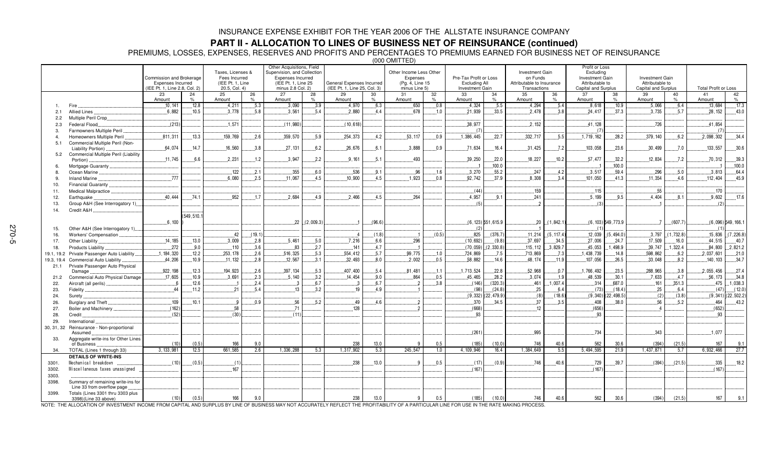### **PART II - ALLOCATION TO LINES OF BUSINESS NET OF REINSURANCE (continued)**

PREMIUMS, LOSSES, EXPENSES, RESERVES AND PROFITS AND PERCENTAGES TO PREMIUMS EARNED FOR BUSINESS NET OF REINSURANCE

(000 OMITTED)

|             |                                                           | Commission and Brokerage<br><b>Expenses Incurred</b><br>(IEE Pt. 1. Line 2.8. Col. 2) |                | Taxes, Licenses &<br>Fees Incurred<br>(IEE Pt. 1. Line<br>20.5, Col. 4) |              | Other Acquisitions, Field<br>Supervision, and Collection<br>Expenses Incurred<br>(IEE Pt. 1, Line 25)<br>minus 2.8 Col. 2) |                      | General Expenses Incurred<br>(IEE Pt. 1. Line 25, Col. 3) |             | Other Income Less Other<br>Expenses<br>(Pg. 4, Line 15<br>minus Line 5) |                      | Pre-Tax Profit or Loss<br>Excluding All<br>Investment Gain |                       | <b>Investment Gain</b><br>on Funds<br>Attributable to Insurance<br>Transactions |             | Profit or Loss<br>Excludina<br><b>Investment Gain</b><br>Attributable to<br>Capital and Surplus |                        | <b>Investment Gain</b><br>Attributable to<br>Capital and Surplus |              | <b>Total Profit or Loss</b> |                        |
|-------------|-----------------------------------------------------------|---------------------------------------------------------------------------------------|----------------|-------------------------------------------------------------------------|--------------|----------------------------------------------------------------------------------------------------------------------------|----------------------|-----------------------------------------------------------|-------------|-------------------------------------------------------------------------|----------------------|------------------------------------------------------------|-----------------------|---------------------------------------------------------------------------------|-------------|-------------------------------------------------------------------------------------------------|------------------------|------------------------------------------------------------------|--------------|-----------------------------|------------------------|
|             |                                                           | 23                                                                                    | 24             | 25                                                                      | 26           | 27                                                                                                                         | 28                   | 29                                                        | 30          | 31                                                                      | 32                   | 33                                                         | 34                    | 35                                                                              | 36          | 37                                                                                              | 38                     | 39                                                               | 40           | 41                          | 42                     |
|             | Fire                                                      | Amount<br>.10.141                                                                     | %<br>.12.8     | Amount<br>.4.211                                                        | $\%$<br>.5.3 | Amount<br>.3.090                                                                                                           | $O_{\Lambda}$<br>3.9 | Amount<br>4.970                                           | $\%$<br>6.3 | Amount<br>.650                                                          | $\frac{9}{6}$<br>0.8 | Amount<br>4.324                                            | %<br>.5.5             | Amount<br>4,294                                                                 | .5.4        | Amount<br>8.618                                                                                 | $\%$<br>.10.9          | Amount<br>.5.066                                                 | %<br>6.4     | Amount<br>.13.684           | %<br>.17.3             |
| 2.1         | Allied Lines                                              | .6,882                                                                                | .10.5          | .3.778                                                                  | 5.8          | 3.561                                                                                                                      | 5.4                  | 2.880                                                     | 4.4         | 678                                                                     | .1.0                 | 21.939                                                     | 33.5                  | 2.478                                                                           | 3.8         | .24.417                                                                                         | 37.3                   | 3.735                                                            | 5.7          | .28.152                     | 43.0                   |
| 2.2         | Multiple Peril Crop                                       |                                                                                       |                |                                                                         |              |                                                                                                                            |                      |                                                           |             |                                                                         |                      |                                                            |                       |                                                                                 |             |                                                                                                 |                        |                                                                  |              |                             |                        |
| 2.3         | Federal Flood.                                            | (213)                                                                                 |                | 1,571                                                                   |              | (11,980)                                                                                                                   |                      | (10, 618)                                                 |             |                                                                         |                      | .38,977                                                    |                       | .2.152                                                                          |             | .41, 128                                                                                        |                        | .726                                                             |              | 41,854                      |                        |
| 3.          | Farmowners Multiple Peril                                 |                                                                                       |                |                                                                         |              |                                                                                                                            |                      |                                                           |             |                                                                         |                      | (7)                                                        |                       |                                                                                 |             | (7)                                                                                             |                        |                                                                  |              | (7)                         |                        |
|             | Homeowners Multiple Peril                                 | .811.311                                                                              | .13.3          | 159,769                                                                 | 2.6          | .359,570                                                                                                                   | .5.9                 | .254.373                                                  | 4.2         | .53.117                                                                 | 0.9                  | .1,386,445                                                 | .22.7                 | .332,717                                                                        | .5.5        | .1,719,162                                                                                      | .28.2                  | 379.140                                                          | 6.2          | .2.098.302                  | 34.4                   |
| 5.1         | Commercial Multiple Peril (Non-                           |                                                                                       |                |                                                                         |              |                                                                                                                            |                      |                                                           |             |                                                                         |                      |                                                            |                       |                                                                                 |             |                                                                                                 |                        |                                                                  |              |                             |                        |
|             | Liability Portion)                                        | .64.074                                                                               | .14.7          | .16,560                                                                 | 3.8          | .27,131                                                                                                                    | 6.2                  | .26,676                                                   | .6.1        | .3,888                                                                  | 0.9                  | .71,634                                                    | 16.4                  | .31,425                                                                         | .7.2        | .103,058                                                                                        | .23.6                  | .30,499                                                          | .7.0         | .133,557                    | .30.6                  |
| 5.2         | Commercial Multiple Peril (Liability                      |                                                                                       |                |                                                                         |              |                                                                                                                            |                      |                                                           |             |                                                                         |                      |                                                            |                       |                                                                                 |             |                                                                                                 |                        |                                                                  |              |                             |                        |
|             | Portion)                                                  | 11.745                                                                                | 6.6            | .2,231                                                                  | 1.2          | .3.947                                                                                                                     | 2.2                  | 9.161                                                     | .5.1        | 493                                                                     |                      | .39,250                                                    | .22.0                 | 18,227                                                                          | 10.2        | .57,477                                                                                         | .32.2<br>100.0         | 12,834                                                           | 7.2          | .70,312                     | .39.3                  |
|             | Mortgage Guaranty<br>Ocean Marine                         |                                                                                       |                | .122                                                                    | .2.1         | .355                                                                                                                       | 6.0                  | .536                                                      |             | .96                                                                     | .1.6                 | 3,270                                                      | 100.0<br>.55.2        | .247                                                                            | 4.2         | .3,517                                                                                          | 59.4                   | .296                                                             | 5.0          |                             | 100.0<br>64.4          |
| -8.<br>-9   | <b>Inland Marine</b>                                      | 777                                                                                   |                | 6.080                                                                   | 2.5          | .11.067                                                                                                                    | 4.5                  | 10.900                                                    | .9.1<br>4.5 | .1.923                                                                  | 0.8                  | 92.742                                                     | 37.9                  | 8.308                                                                           | 3.4         | 101.050                                                                                         | 41.3                   | .11.354                                                          | 4.6          | .3,813<br>112.404           | 45.9                   |
| 10.         | <b>Financial Guaranty</b>                                 |                                                                                       |                |                                                                         |              |                                                                                                                            |                      |                                                           |             |                                                                         |                      |                                                            |                       |                                                                                 |             |                                                                                                 |                        |                                                                  |              |                             |                        |
| 11.         | Medical Malpractice                                       |                                                                                       |                |                                                                         |              |                                                                                                                            |                      |                                                           |             |                                                                         |                      | (44)                                                       |                       | .159                                                                            |             | .115                                                                                            |                        | .55                                                              |              | .170                        |                        |
| 12.         | Earthquake                                                | 40.444                                                                                | .74.1          | .952                                                                    | 17           | 2.684                                                                                                                      | 4.9                  | .2.466                                                    | 4.5         | 264                                                                     |                      | .4,957                                                     | .9.1                  | .241                                                                            |             | .5.199                                                                                          | 9.5                    | 4.404                                                            | .8.1         | .9,602                      | .17.6                  |
| 13.         | Group A&H (See Interrogatory 1)                           |                                                                                       |                |                                                                         |              |                                                                                                                            |                      |                                                           |             |                                                                         |                      | (5)                                                        |                       |                                                                                 |             | (3)                                                                                             |                        |                                                                  |              | (2)                         |                        |
| 14.         | Credit A&H                                                |                                                                                       |                |                                                                         |              |                                                                                                                            |                      |                                                           |             |                                                                         |                      |                                                            |                       |                                                                                 |             |                                                                                                 |                        |                                                                  |              |                             |                        |
|             |                                                           |                                                                                       | (549.510.1     |                                                                         |              |                                                                                                                            |                      |                                                           |             |                                                                         |                      |                                                            |                       |                                                                                 |             |                                                                                                 |                        |                                                                  |              |                             |                        |
|             |                                                           | 6.100                                                                                 |                |                                                                         |              | 22                                                                                                                         | (2,009.3)            |                                                           | (96.6)      |                                                                         |                      |                                                            | $(6, 123)$ 551, 615.9 | .20                                                                             | (1.842.1)   |                                                                                                 | $(6, 103)$ 549, 773.9  | -7                                                               | (607.7)      |                             | $(6,096)$ 549, 166.1   |
| 15.         | Other A&H (See Interrogatory 1)                           |                                                                                       |                |                                                                         |              |                                                                                                                            |                      |                                                           |             |                                                                         |                      |                                                            |                       |                                                                                 |             | (1)                                                                                             |                        |                                                                  |              | (1)                         |                        |
| 16.         | Workers' Compensation                                     |                                                                                       |                | .42                                                                     | (19.1)       |                                                                                                                            |                      | $\overline{4}$                                            | (1.8)       |                                                                         | (0.5)                | 825                                                        | (376.7)               | .11.214                                                                         | (5, 117.4)  | 12.039                                                                                          | (5.494.0)              | 3.797                                                            | (1,732.8)    | 15.836                      | (7, 226.8)             |
| 17.         | Other Liability                                           | .14.185                                                                               | .13.0          | .3,009                                                                  | 2.8          | .5,461                                                                                                                     | 5.0                  | 7.216                                                     | 6.6         | .296                                                                    |                      | (10, 692)                                                  | (9.8)                 | .37,697                                                                         | .34.5       | .27,006                                                                                         | .24.7                  | .17,509                                                          | .16.0        | 44,515                      | .40.7                  |
| 18.         | Products Liability                                        | .272                                                                                  | .9.0           | .110                                                                    | 3.6          | 83                                                                                                                         | .2.7                 | 141                                                       | 4.7         |                                                                         |                      | (70, 059)                                                  | 2,330.8)              | 115, 112                                                                        | .3,829.7    | 45,053                                                                                          | 1,498.9                | 39,747                                                           | 1,322.4      | 84,800                      | 2,821.2                |
| 19.1, 19.2  | Private Passenger Auto Liability                          | .1, 184, 320                                                                          | .12.2          | .253,178                                                                | .2.6         | 516,325                                                                                                                    | .5.3                 | .554,412                                                  | .5.7        | .99,775                                                                 | .1.0                 | 724,869                                                    | .7.5                  | .713,869                                                                        | .7.3        | .1,438,739                                                                                      | .14.8                  | 598,862                                                          | .6.2         | .2.037.601                  | .21.0                  |
| 19.3, 19.4  | <b>Commercial Auto Liability</b>                          | .44.206                                                                               | .10.9          | .11,132                                                                 | 2.8          | 12,567                                                                                                                     | 3.1                  | .32,493                                                   | 8.0         | .2,002                                                                  | 0.5                  | .58,882                                                    | .14.6                 | .48, 174                                                                        | .11.9       | 107,056                                                                                         | 26.5                   | .33,048                                                          | 8.2          | .140, 103                   | 34.7                   |
| 21.1        | Private Passenger Auto Physical                           |                                                                                       |                |                                                                         |              |                                                                                                                            | .5.3                 |                                                           |             |                                                                         |                      |                                                            |                       |                                                                                 |             |                                                                                                 |                        |                                                                  |              |                             |                        |
|             | Damage.                                                   | 922, 198<br>.17,605                                                                   | .12.3<br>.10.9 | 194,923<br>3,691                                                        | 2.6<br>2.3   | 397, 134<br>.5,140                                                                                                         | 3.2                  | 407.400<br>14.454                                         | .5.4<br>9.0 | .81,481<br>864                                                          | .1.1<br>0.5          | .1,713,524<br>45,465                                       | .22.8<br>28.2         | .52,968<br>3,074                                                                | .0.7<br>1.9 | .1,766,492<br>.48,539                                                                           | .23.5<br>.30.1         | .288,965<br>7.633                                                | .3.8<br>.4.7 | .2.055.456<br>.56, 173      | 27.4<br>34.8           |
| 21.2<br>22. | Commercial Auto Physical Damage<br>Aircraft (all perils). |                                                                                       | .12.6          |                                                                         | .2.4         |                                                                                                                            | .6.7                 |                                                           | .6.7        |                                                                         | .3.8                 | (146)                                                      | (320.3)               | .461                                                                            | .1,007.4    | .314                                                                                            | .687.0                 | .161                                                             | .351.3       | .475                        | .1,038.3               |
| 23.         | Fidelity                                                  | 44                                                                                    | .11.2          | .21                                                                     | 5.4          | .13                                                                                                                        | 3.2                  | 19                                                        | 4.9         |                                                                         |                      | (98)                                                       | (24.8)                | .25                                                                             | 6.4         | (73)                                                                                            | (18.4)                 | .25                                                              | 6.4          | (47)                        | (12.0)                 |
| 24.         | Surety.                                                   |                                                                                       |                |                                                                         |              |                                                                                                                            |                      |                                                           |             |                                                                         |                      | (9, 332)                                                   | (22.479.9)            | (8)                                                                             | (18.6)      |                                                                                                 | $(9,340)$ $(22,498.5)$ | (2)                                                              | (3.8)        |                             | $(9,341)$ $(22,502.2)$ |
| 26.         | Burglary and Theft                                        | 109                                                                                   | .10.1          | . . 9                                                                   | 0.9          | .56                                                                                                                        | 5.2                  | 49                                                        | 4.6         |                                                                         |                      | 370                                                        | 34.5                  | .37                                                                             | 3.5         | .408                                                                                            | 38.0                   | 56                                                               | 5.2          | 464                         | 43.2                   |
| 27.         | Boiler and Machinery                                      | (162)                                                                                 |                | .58                                                                     |              | 71                                                                                                                         |                      | 128                                                       |             |                                                                         |                      | (668)                                                      |                       | 12                                                                              |             | (656)                                                                                           |                        |                                                                  |              | (652)                       |                        |
| 28.         | Credit.                                                   | (52)                                                                                  |                | (30)                                                                    |              | (11)                                                                                                                       |                      |                                                           |             |                                                                         |                      | 93                                                         |                       |                                                                                 |             | 93                                                                                              |                        |                                                                  |              | 93                          |                        |
| 29.         | International                                             |                                                                                       |                |                                                                         |              |                                                                                                                            |                      |                                                           |             |                                                                         |                      |                                                            |                       |                                                                                 |             |                                                                                                 |                        |                                                                  |              |                             |                        |
| 30, 31, 32  | Reinsurance - Non-proportional                            |                                                                                       |                |                                                                         |              |                                                                                                                            |                      |                                                           |             |                                                                         |                      |                                                            |                       |                                                                                 |             |                                                                                                 |                        |                                                                  |              |                             |                        |
|             | Assumed.                                                  |                                                                                       |                |                                                                         |              |                                                                                                                            |                      |                                                           |             |                                                                         |                      | (261)                                                      |                       | 995                                                                             |             | .734                                                                                            |                        | .343                                                             |              | .1.077                      |                        |
| 33.         | Aggregate write-ins for Other Lines<br>of Business        | (10)                                                                                  | (0.5)          | 166                                                                     | 9.0          |                                                                                                                            |                      | 238                                                       | 13.0        | 9                                                                       | 0.5                  | (185)                                                      | (10.0)                | 746                                                                             | 40.6        | 562                                                                                             | 30.6                   | (394)                                                            | (21.5)       | 167                         | 9.1                    |
| 34.         | TOTAL (Lines 1 through 33)                                | 3.133.981                                                                             | 12.5           | 661.585                                                                 | 2.6          | 1.336.288                                                                                                                  | 5.3                  | 1.317.902                                                 | 5.3         | 245.547                                                                 | 1.0                  | 4.109.946                                                  | 16.4                  | 1.384.649                                                                       | 5.5         | 5.494.595                                                                                       | 21.9                   | 1.437.871                                                        | 5.7          | 6.932.466                   | 27.7                   |
|             | <b>DETAILS OF WRITE-INS</b>                               |                                                                                       |                |                                                                         |              |                                                                                                                            |                      |                                                           |             |                                                                         |                      |                                                            |                       |                                                                                 |             |                                                                                                 |                        |                                                                  |              |                             |                        |
| 3301.       | Mechanical breakdown                                      | (10)                                                                                  | (0.5)          | $-1$                                                                    |              |                                                                                                                            |                      | .238                                                      | .13.0       | Q                                                                       | .0.5                 | (17)                                                       | (0.9)                 | .746                                                                            | 40.6        | .729                                                                                            | 39.7                   | (394)                                                            | (21.5)       | .335                        | 18.2                   |
| 3302.       | Miscellaneous taxes unassigned                            |                                                                                       |                | .167                                                                    |              |                                                                                                                            |                      |                                                           |             |                                                                         |                      | (167)                                                      |                       |                                                                                 |             | (167)                                                                                           |                        |                                                                  |              | (167)                       |                        |
| 3303.       |                                                           |                                                                                       |                |                                                                         |              |                                                                                                                            |                      |                                                           |             |                                                                         |                      |                                                            |                       |                                                                                 |             |                                                                                                 |                        |                                                                  |              |                             |                        |
| 3398.       | Summary of remaining write-ins for                        |                                                                                       |                |                                                                         |              |                                                                                                                            |                      |                                                           |             |                                                                         |                      |                                                            |                       |                                                                                 |             |                                                                                                 |                        |                                                                  |              |                             |                        |
|             | Line 33 from overflow page                                |                                                                                       |                |                                                                         |              |                                                                                                                            |                      |                                                           |             |                                                                         |                      |                                                            |                       |                                                                                 |             |                                                                                                 |                        |                                                                  |              |                             |                        |
| 3399.       | Totals (Lines 3301 thru 3303 plus<br>3398)(Line 33 above) | (10)                                                                                  | (0.5)          | 166                                                                     | 9.0          |                                                                                                                            |                      | 238                                                       | 13.0        | 9                                                                       | 0.5                  | (185)                                                      | (10.0)                | 746                                                                             | 40.6        | 562                                                                                             | 30.6                   | (394)                                                            | (21.5)       | 167                         | 9.1                    |
|             |                                                           |                                                                                       |                |                                                                         |              |                                                                                                                            |                      |                                                           |             |                                                                         |                      |                                                            |                       |                                                                                 |             |                                                                                                 |                        |                                                                  |              |                             |                        |

NOTE: THE ALLOCATION OF INVESTMENT INCOME FROM CAPITAL AND SURPLUS BY LINE OF BUSINESS MAY NOT ACCURATELY REFLECT THE PROFITABILITY OF A PARTICULAR LINE FOR USE IN THE RATE MAKING PROCESS.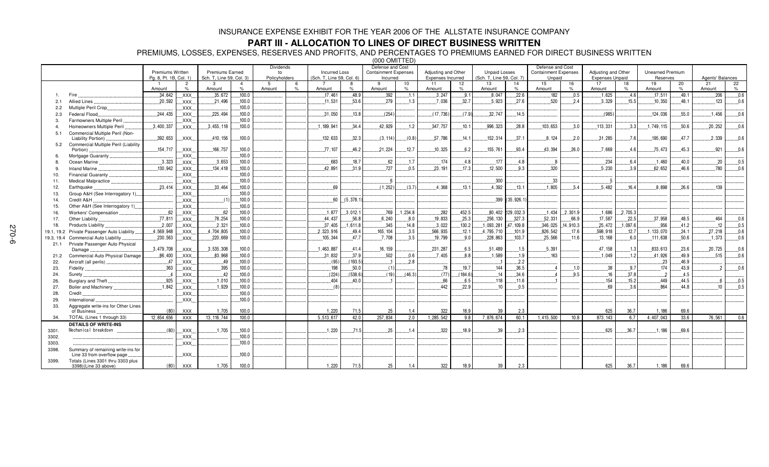## **PART III - ALLOCATION TO LINES OF DIRECT BUSINESS WRITTEN**

PREMIUMS, LOSSES, EXPENSES, RESERVES AND PROFITS, AND PERCENTAGES TO PREMIUMS EARNED FOR DIRECT BUSINESS WRITTEN

|            |                                                                  |                                                   |            |                                                    |                |                                         |               |                                                   |               | $(000 \tOMITIED)$                                           |          |                                          |         |                                                   |                      |                                                           |          |                                        |          |                                     |       |                  |      |
|------------|------------------------------------------------------------------|---------------------------------------------------|------------|----------------------------------------------------|----------------|-----------------------------------------|---------------|---------------------------------------------------|---------------|-------------------------------------------------------------|----------|------------------------------------------|---------|---------------------------------------------------|----------------------|-----------------------------------------------------------|----------|----------------------------------------|----------|-------------------------------------|-------|------------------|------|
|            |                                                                  | <b>Premiums Written</b><br>Pg. 8, Pt. 1B, Col. 1) |            | <b>Premiums Earned</b><br>Sch. T, Line 59, Col. 3) |                | <b>Dividends</b><br>to<br>Policyholders |               | <b>Incurred Loss</b><br>(Sch. T, Line 59, Col. 6) |               | Defense and Cost<br><b>Containment Expenses</b><br>Incurred |          | Adiusting and Other<br>Expenses Incurred |         | <b>Unpaid Losses</b><br>(Sch. T. Line 59, Col. 7) |                      | Defense and Cost<br><b>Containment Expenses</b><br>Unpaid |          | Adjusting and Other<br>Expenses Unpaid |          | <b>Unearned Premium</b><br>Reserves |       | Agents' Balances |      |
|            |                                                                  |                                                   | 2          | 3                                                  | $\overline{4}$ | -5                                      | 6             |                                                   | 8             | 9                                                           | 10       | 11                                       | 12      | 13                                                | 14                   | 15                                                        | 16       | 17                                     | 18       | 19                                  | 20    | 21               | 22   |
|            |                                                                  | Amount                                            | $\%$       | Amount                                             | $\%$           | Amount                                  | $\frac{9}{6}$ | Amount                                            | $\frac{1}{2}$ | Amount                                                      | $\%$     | Amount                                   | $\%$    | Amount                                            | $\%$                 | Amount                                                    | $\%$     | Amount                                 | $\%$     | Amount                              | $\%$  | Amount           | $\%$ |
|            |                                                                  | .34.642                                           | .XXX.      | .35,672                                            | .100.0         |                                         |               | .17,461                                           | 48.9          | .392                                                        | 1.1      | 3,247                                    | .9.1    | .8,047                                            | .22.6                | .182                                                      | .0.5     | .1.625                                 | .4.6     | .17.511                             | .49.1 | .206             | .0.6 |
| 2.1        | <b>Allied Lines</b>                                              | .20,592                                           | XXX.       | .21,496                                            | .100.0         |                                         |               | .11,531                                           | 53.6          | 279                                                         | 1.3      | 7.036                                    | 32.7    | 5.923                                             | 27.6                 | 520                                                       | .2.4     | 3.329                                  | 15.5     | .10,350                             | .48.1 | 123              | .0.6 |
| 2.2        | Multiple Peril Crop.                                             |                                                   | .XXX.      |                                                    | 100.0          |                                         |               |                                                   |               |                                                             |          |                                          |         |                                                   |                      |                                                           |          |                                        |          |                                     |       |                  |      |
| 2.3        | Federal Flood                                                    | 244.435                                           | .XXX.      | .225,494                                           | .100.0         |                                         |               | .31,050                                           | .13.8         | (254)                                                       |          | (17, 736)                                | (7.9)   | .32,747                                           | 14.5                 |                                                           |          | (985)                                  |          | .124,036                            | .55.0 | .1,456           | .0.6 |
| 3.         | Farmowners Multiple Peril                                        |                                                   | XXX.       |                                                    | .100.0         |                                         |               |                                                   |               |                                                             |          |                                          |         |                                                   |                      |                                                           |          |                                        |          |                                     |       |                  |      |
|            | Homeowners Multiple Peril                                        | .3,400,337                                        | XXX.       | .3,455,118                                         | .100.0         |                                         |               | 1, 189, 941                                       | 34.4          | 42.929                                                      | .1.2     | .347,757                                 | .10.1   | .996.323                                          | .28.8                | .103.653                                                  | .3.0     | .113,331                               | .3.3     | 1,749,115                           | .50.6 | .20,252          | .0.6 |
| 5.1        | Commercial Multiple Peril (Non-                                  |                                                   |            |                                                    |                |                                         |               |                                                   |               |                                                             |          |                                          |         |                                                   |                      |                                                           |          |                                        |          |                                     |       |                  |      |
|            | Liability Portion).                                              | .392,653                                          | XXX.       | .410, 156                                          | .100.0         |                                         |               | .132.633                                          | 32.3          | (3, 114)                                                    | (0.8)    | 57,786                                   | 14.1    | 152,314                                           | 37.1                 | .8.124                                                    | .2.0     | .31,285                                | 76       | 195,690                             | 47.7  | 2,339            | 0.6  |
| 5.2        | Commercial Multiple Peril (Liability                             |                                                   |            |                                                    |                |                                         |               |                                                   |               |                                                             |          |                                          |         |                                                   |                      |                                                           |          |                                        |          |                                     |       |                  |      |
|            | Portion)                                                         | .154, 717                                         | .XXX.      | .166, 757                                          | .100.0         |                                         |               | .77.107                                           | 46.2          | .21,224                                                     | 12.7     | .10.325                                  | 6.2     | 155,761                                           | 93.4                 | 43,394                                                    | .26.0    | .7.669                                 | 46       | .75,473                             | 45.3  | .921             | .0.6 |
|            | Mortgage Guaranty                                                |                                                   | XXX.       |                                                    | .100.0         |                                         |               |                                                   |               |                                                             |          |                                          |         |                                                   |                      |                                                           |          |                                        |          |                                     |       |                  |      |
|            | Ocean Marine.                                                    | 3,323                                             | .XXX.      | 3,653                                              | .100.0         |                                         |               | 683                                               | 18.7          | .62                                                         | .1.7     | .174                                     | 4.8     | .177                                              | 4.8                  | .8                                                        |          | .234                                   | 6.4      | .1.460                              | .40.0 | .20              | 0.5  |
|            | Inland Marine                                                    | .130,942                                          | XXX.       | 134,418                                            | .100.0         |                                         |               | 42.891                                            | 31.9          | 727                                                         | 0.5      | 23.191                                   | .17.3   | 12.500                                            | 9.3                  | 320                                                       |          | 5.230                                  | 3.9      | .62,652                             | 46.6  | 780              | .0.6 |
| 10.        | Financial Guaranty                                               |                                                   | XXX.       |                                                    | .100.0         |                                         |               |                                                   |               |                                                             |          |                                          |         |                                                   |                      |                                                           |          |                                        |          |                                     |       |                  |      |
| 11.        | Medical Malpractice                                              |                                                   | .XXX.      |                                                    | .100.0         |                                         |               |                                                   |               |                                                             |          |                                          |         | .300                                              |                      | 33                                                        |          | . 5                                    |          |                                     |       |                  |      |
| 12.        | Earthquake                                                       | .23.414                                           | XXX.       | .33.464                                            | .100.0         |                                         |               | 69                                                |               | (1,252)                                                     | (3.7)    | .4,368                                   | .13.1   | 4,392                                             | 13.1                 | .1,805                                                    | .5.4     | .5.482                                 | 16.4     | .8.898                              | .26.6 | 139              |      |
| 13.        | Group A&H (See Interrogatory 1)                                  |                                                   | XXX.       |                                                    | .100.0         |                                         |               |                                                   |               |                                                             |          |                                          |         |                                                   |                      |                                                           |          |                                        |          |                                     |       |                  |      |
| 14.        | Credit A&H                                                       |                                                   | XXX.       | (1)                                                | .100.0         |                                         |               | 60                                                | (5,378.1)     |                                                             |          |                                          |         | .399                                              | (35, 926.1)          |                                                           |          |                                        |          |                                     |       |                  |      |
| 15.        | Other A&H (See Interrogatory 1)                                  |                                                   | XXX.       |                                                    | .100.0         |                                         |               |                                                   |               |                                                             |          |                                          |         |                                                   |                      |                                                           |          |                                        |          |                                     |       |                  |      |
| 16.        | Workers' Compensation                                            | .62                                               | XXX.       | 62                                                 | .100.0         |                                         |               | .1,877                                            | .3,012.1      | 769                                                         | .1,234.8 | .282                                     | .452.5  |                                                   | $.80,402$ .129,032.3 | .1.434                                                    | .2,301.9 | .1,686                                 | .2,705.3 |                                     |       |                  |      |
| 17.        | Other Liability.                                                 | .77.811                                           | .XXX.      | .78,254                                            | .100.0         |                                         |               | 44.437                                            | .56.8         | 6,240                                                       | 8.0      | .19,833                                  | .25.3   | .256,130                                          | .327.3               | .52.331                                                   | 66.9     | .17.587                                | .22.5    | .37,958                             | .48.5 | .464             | .0.6 |
| 18.        | Products Liability.                                              | 2,007                                             | XXX.       | .2,321                                             | .100.0         |                                         |               | .37.405                                           | 1.611.8       | .345                                                        | .14.8    | 3,022                                    | .130.2  | .1,093,281                                        | .47,109.8            | .346,025                                                  | 14,910.3 | .25,472                                | 1,097.6  | .956                                | .41.2 | .12              | .0.5 |
| 19.1, 19.2 | Private Passenger Auto Liability                                 | .4,569,948                                        | .XXX.      | .4,704,805                                         | 100.0          |                                         |               | .2.323.916                                        | .49.4         | .165, 104                                                   | 3.5      | 566,935                                  | .12.1   | 4,795,710                                         | .101.9               | .826,542                                                  | .17.6    | .598,918                               | .12.7    | .1, 133, 070                        | .24.1 | .27.218          | .0.6 |
| 19.3, 19.4 | Commercial Auto Liability                                        | .230,563                                          | XXX.       | .220,669                                           | 100.0          |                                         |               | .105, 344                                         | 47.7          | .7.708                                                      | 3.5      | .19.799                                  | 9.0     | .228,863                                          | 103.7                | .25.566                                                   | .11.6    | .13,168                                | 6.0      | .111.638                            | 50.6  | .1,373           | .0.6 |
| 21.1       | Private Passenger Auto Physical                                  |                                                   |            |                                                    |                |                                         |               |                                                   |               |                                                             |          |                                          |         |                                                   |                      |                                                           |          |                                        |          |                                     |       |                  |      |
|            | Damage                                                           | .3.479.708                                        | XXX.       | .3,535,308                                         | .100.0         |                                         |               | 1,463,887                                         | 41.4          | .16, 159                                                    |          | .231,287                                 | 6.5     | .51,489                                           | .1.5                 | .5.391                                                    |          | .47.158                                | 13       | .833,613                            | .23.6 | .20,725          | 0.6  |
| 21.2       | Commercial Auto Physical Damage.                                 | .86,400                                           | .XXX.      | .83,968                                            | .100.0         |                                         |               | .31.832                                           | .37.9         | .502                                                        | .0.6     | .7.405                                   | 8.8     | .1.589                                            | .1.9                 | .163                                                      |          | .1.049                                 | 1.2      | .41,926                             | .49.9 | 515              | .0.6 |
| 22.        | Aircraft (all perils)                                            | .47                                               | .XXX.      | .49                                                | .100.0         |                                         |               | (95)                                              | (193.5)       |                                                             | 2.8      |                                          |         |                                                   | .2.2                 |                                                           |          |                                        |          | .23                                 | .46.9 |                  |      |
| 23.        | Fidelity.                                                        | .363                                              | .XXX.      | .395                                               | .100.0         |                                         |               | 198                                               | .50.0         | (1)                                                         |          | .78                                      | 19.7    | .144                                              | 36.5                 | $\overline{4}$                                            | .1.0     | .38                                    | .9.7     | 174                                 | .43.9 |                  | .0.6 |
| 24.        | Surety.                                                          | . 4                                               | XXX.       | .42                                                | 100.0          |                                         |               | (224)                                             | (538.6)       | (19)                                                        | (46.3)   | (77)                                     | (184.6) | .14                                               | .34.6                |                                                           | .9.5     | .16                                    | .37.8    |                                     | .4.5  |                  |      |
| 26.        | Burglary and Theft.                                              | 925                                               | .XXX.      | .1,010                                             | .100.0         |                                         |               | 404                                               | 40.0          |                                                             |          | .66                                      | 6.5     | .118                                              | 11.6                 |                                                           |          | 154                                    | 15.2     | 449                                 | .44.5 |                  | 0.5  |
| 27.        | Boiler and Machinery                                             | .1,842                                            | .XXX.      | .1,929                                             | .100.0         |                                         |               | (8)                                               |               |                                                             |          | 442                                      | 22.9    | 10                                                | 0.5                  |                                                           |          | 69                                     | 3.6      | 864                                 | 44.8  | 10               | 0.5  |
| 28.        | Credit                                                           |                                                   | .XXX.      |                                                    | .100.0         |                                         |               |                                                   |               |                                                             |          |                                          |         |                                                   |                      |                                                           |          |                                        |          |                                     |       |                  |      |
| 29.        | International                                                    |                                                   | XXX.       |                                                    | .100.0         |                                         |               |                                                   |               |                                                             |          |                                          |         |                                                   |                      |                                                           |          |                                        |          |                                     |       |                  |      |
| 33.        | Aggregate write-ins for Other Lines<br>of Business               | (80)                                              | <b>XXX</b> | 1.705                                              | 100.0          |                                         |               | 1.220                                             | 71.5          | 25                                                          | 1.4      | 322                                      | 18.9    | 39                                                | 2.3                  |                                                           |          | 625                                    | 36.7     | 1.186                               | 69.6  |                  |      |
| 34.        | TOTAL (Lines 1 through 33)                                       | 12,854,656                                        | <b>XXX</b> | 13, 116, 744                                       | 100.0          |                                         |               | 5,513,617                                         | 42.0          | 257,834                                                     | 2.0      | 1,285,542                                | 9.8     | 7,876,674                                         | 60.1                 | 1.415.500                                                 | 10.8     | 873.143                                | 6.7      | 4,407,043                           | 33.6  | 76,561           | 0.6  |
|            | <b>DETAILS OF WRITE-INS</b>                                      |                                                   |            |                                                    |                |                                         |               |                                                   |               |                                                             |          |                                          |         |                                                   |                      |                                                           |          |                                        |          |                                     |       |                  |      |
| 3301.      | Mechanical breakdown                                             | (80)                                              | XXX.       | 1,705                                              | .100.0         |                                         |               | .1,220                                            | .71.5         | .25                                                         | 1.4      | .322                                     | .18.9   | .39                                               | 2.3                  |                                                           |          | .625                                   | .36.7    | .1.186                              | .69.6 |                  |      |
| 3302.      |                                                                  |                                                   | XXX.       |                                                    | .100.0         |                                         |               |                                                   |               |                                                             |          |                                          |         |                                                   |                      |                                                           |          |                                        |          |                                     |       |                  |      |
| 3303.      |                                                                  |                                                   | XXX.       |                                                    | .100.0         |                                         |               |                                                   |               |                                                             |          |                                          |         |                                                   |                      |                                                           |          |                                        |          |                                     |       |                  |      |
| 3398.      | Summary of remaining write-ins for<br>Line 33 from overflow page |                                                   | XXX.       |                                                    | .100.0         |                                         |               |                                                   |               |                                                             |          |                                          |         |                                                   |                      |                                                           |          |                                        |          |                                     |       |                  |      |
| 3399.      | Totals (Lines 3301 thru 3303 plus<br>3398)(Line 33 above)        | (80)                                              | <b>XXX</b> | 1.705                                              | 100.0          |                                         |               | 1,220                                             | 71.5          | 25                                                          | 14       | 322                                      | 18.9    | 39                                                | 2.3                  |                                                           |          | 625                                    | 36.7     | 1,186                               | 69.6  |                  |      |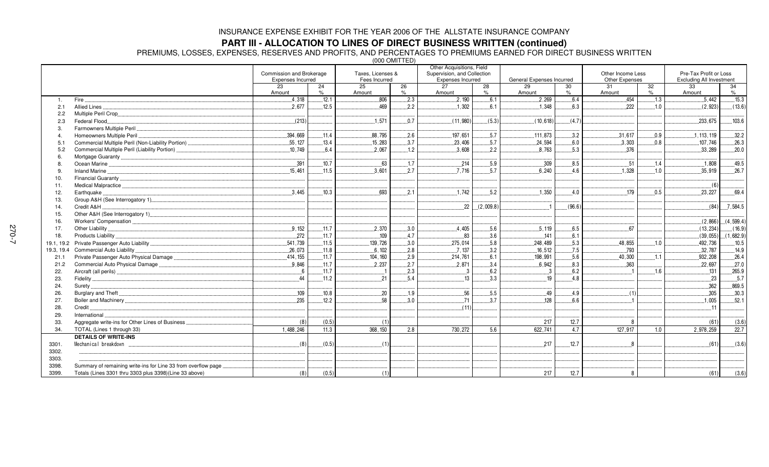### **PART III - ALLOCATION TO LINES OF DIRECT BUSINESS WRITTEN (continued)**

PREMIUMS, LOSSES, EXPENSES, RESERVES AND PROFITS, AND PERCENTAGES TO PREMIUMS EARNED FOR DIRECT BUSINESS WRITTEN

(000 OMITTED)

|                  |                                                               |                          |            |                   |            | Other Acquisitions, Field   |           |                           |            |                   |            |                                 |            |
|------------------|---------------------------------------------------------------|--------------------------|------------|-------------------|------------|-----------------------------|-----------|---------------------------|------------|-------------------|------------|---------------------------------|------------|
|                  |                                                               | Commission and Brokerage |            | Taxes, Licenses & |            | Supervision, and Collection |           |                           |            | Other Income Less |            | Pre-Tax Profit or Loss          |            |
|                  |                                                               | <b>Expenses Incurred</b> |            | Fees Incurred     |            | Expenses Incurred           |           | General Expenses Incurred |            | Other Expenses    |            | <b>Excluding All Investment</b> |            |
|                  |                                                               | 23<br>Amount             | 24<br>$\%$ | 25<br>Amount      | 26<br>$\%$ | 27<br>Amount                | 28<br>%   | 29<br>Amount              | 30<br>$\%$ | 31<br>Amount      | 32<br>$\%$ | 33<br>Amount                    | 34<br>$\%$ |
| $\overline{1}$ . | Fire                                                          | 4,318                    | .12.1      | .806              | .2.3       | .2,190                      | .6.1      | .2,269                    | 6.4        | .454              | .1.3       | 5,442                           | .15.3      |
| 2.1              | Allied Lines                                                  | 2.677                    | .12.5      | 469               | 2.2        | 1,302                       | 6.1       | 1.348                     | 6.3        | 222               | 1.0        | (2,923)                         | (13.6)     |
| 2.2              | Multiple Peril Crop                                           |                          |            |                   |            |                             |           |                           |            |                   |            |                                 |            |
| 2.3              | Federal Flood                                                 | (213)                    |            | .1,571            | 0.7        | (11, 980)                   | (5.3)     | (10, 618)                 | (4.7)      |                   |            | 233.675                         | .103.6     |
| $\mathcal{B}$    | Farmowners Multiple Peril                                     |                          |            |                   |            |                             |           |                           |            |                   |            |                                 |            |
| $\overline{4}$   | Homeowners Multiple Peril.                                    | .394,669                 | .11.4      | .88,795           | 2.6        | 197,651                     | .5.7      | .111,873                  | 3.2        | .31,617           | 0.9        | .1, 113, 119                    | .32.2      |
| 5.1              |                                                               | .55, 127                 | 13.4       | 15.283            | 3.7        | 23,406                      | .5.7      | .24,594                   | 6.0        | 3.303             | 0.8        | 107.746                         | 26.3       |
| 5.2              | Commercial Multiple Peril (Liability Portion)                 | 10.749                   | 6.4        | .2,067            | .1.2       | .3,608                      | 2.2       | .8,763                    | .5.3       | 376               |            | .33,289                         | .20.0      |
| -6               |                                                               |                          |            |                   |            |                             |           |                           |            |                   |            |                                 |            |
|                  |                                                               | .391                     | .10.7      | .63               | .1.7       | .214                        | .5.9      | .309                      | .8.5       | .51               | .1.4       | .1,808                          | 49.5       |
|                  |                                                               | 15.461                   | .11.5      | 3.601             | 2.7        | 7.716                       | 5.7       | 6.240                     | $-4.6$     | 1.328             | 1.0        | 35.919                          | 26.7       |
|                  |                                                               |                          |            |                   |            |                             |           |                           |            |                   |            |                                 |            |
| 10.              |                                                               |                          |            |                   |            |                             |           |                           |            |                   |            |                                 |            |
| 11.              |                                                               | 3.445                    | 10.3       | 693               |            | 1,742                       |           | 1.350                     |            | .179              |            | (6)<br>23.227                   | 69.4       |
| 12.              | Earthquake                                                    |                          |            |                   | 2.1        |                             | 5.2       |                           | 4.0        |                   | 0.5        |                                 |            |
| 13.              |                                                               |                          |            |                   |            |                             |           |                           |            |                   |            |                                 |            |
| 14.              | Credit A&H                                                    |                          |            |                   |            | 22                          | (2,009.8) |                           | (96.6)     |                   |            | (84)                            | .7,584.5   |
| 15.              |                                                               |                          |            |                   |            |                             |           |                           |            |                   |            |                                 |            |
| 16.              |                                                               |                          |            |                   |            |                             |           |                           |            |                   |            | (2,866)                         | (4,599.4)  |
| 17.              | Other Liability                                               | 9.152                    | .11.7      | .2,370            | 3.0        | .4,405                      | .5.6      | .5,119                    | .6.5       | 67                |            | (13, 234)                       | (16.9)     |
| 18.              |                                                               | .272                     | .11.7      | 109               | 4.7        | 83                          | 3.6       | .141                      | 6.1        |                   |            | (39,055)                        | (1,682.9)  |
| 19.1, 19.2       |                                                               | 541.739                  | .11.5      | 139,726           | 3.0        | .275,014                    | .5.8      | .248,489                  | .5.3       | .48.855           | .1.0       | 492,736                         | .10.5      |
| 19.3, 19.4       | Commercial Auto Liability.                                    | .26,073                  | 11.8       | .6,102            | 2.8        | .7,137                      | .3.2      | .16,512                   | .7.5       | 793               |            | .32,787                         | .14.9      |
| 21.1             | Private Passenger Auto Physical Damage                        | .414, 155                | .11.7      | .104, 160         | 2.9        | .214,761                    | .6.1      | 198,991                   | .5.6       | .40, 300          | .1.1       | 932, 208                        | .26.4      |
| 21.2             | Commercial Auto Physical Damage                               | 9.846                    | .11.7      | .2,237            | 2.7        | 2.871                       | 3.4       | .6,942                    | .8.3       | .363              |            | 22.697                          | .27.0      |
| 22.              |                                                               | 6                        | .11.7      |                   | 2.3        | .3                          | 6.2       | $\cdot$ 3                 | 6.2        |                   | .1.6       | .131                            | .265.9     |
| 23.              |                                                               | 44                       | .11.2      | .21               | 5.4        | .13                         | 3.3       | .19                       | 4.8        |                   |            | 23                              | .5.7       |
| 24.              |                                                               |                          |            |                   |            |                             |           |                           |            |                   |            | .362                            | .869.5     |
| 26.              |                                                               | 109                      | 10.8       | 20                | 1.9        | 56                          | 5.5       | .49                       | .4.9       | (1)               |            | 305                             | 30.3       |
| 27.              |                                                               | 235                      | .12.2      | 58                | 3.0        | 71                          | 3.7       | 128                       | 6.6        |                   |            | .1,005                          | .52.1      |
| 28.              | Credit                                                        |                          |            |                   |            | (11)                        |           |                           |            |                   |            | 11                              |            |
| 29.              | International                                                 |                          |            |                   |            |                             |           |                           |            |                   |            |                                 |            |
| 33.              | Aggregate write-ins for Other Lines of Business               | (8)                      | (0.5)      | (1)               |            |                             |           | 217                       | 12.7       | 8                 |            | (61)                            | (3.6)      |
| 34.              | TOTAL (Lines 1 through 33)                                    | 1.488.246                | 11.3       | 368, 150          | 2.8        | 730.272                     | 5.6       | 622.741                   | 4.7        | 127.917           | 1.0        | 2,978,259                       | 22.7       |
|                  | <b>DETAILS OF WRITE-INS</b>                                   |                          |            |                   |            |                             |           |                           |            |                   |            |                                 |            |
| 3301.            | Mechanical breakdown                                          | (8)                      | (0.5)      | (1)               |            |                             |           | .217                      | .12.7      | 8                 |            | (61)                            | (3.6)      |
| 3302.            |                                                               |                          |            |                   |            |                             |           |                           |            |                   |            |                                 |            |
| 3303.            |                                                               |                          |            |                   |            |                             |           |                           |            |                   |            |                                 |            |
| 3398.            | Summary of remaining write-ins for Line 33 from overflow page |                          |            |                   |            |                             |           |                           |            |                   |            |                                 |            |
| 3399.            | Totals (Lines 3301 thru 3303 plus 3398)(Line 33 above)        | (8)                      | (0.5)      | (1)               |            |                             |           | 217                       | 12.7       | 8                 |            | (61)                            | (3.6)      |
|                  |                                                               |                          |            |                   |            |                             |           |                           |            |                   |            |                                 |            |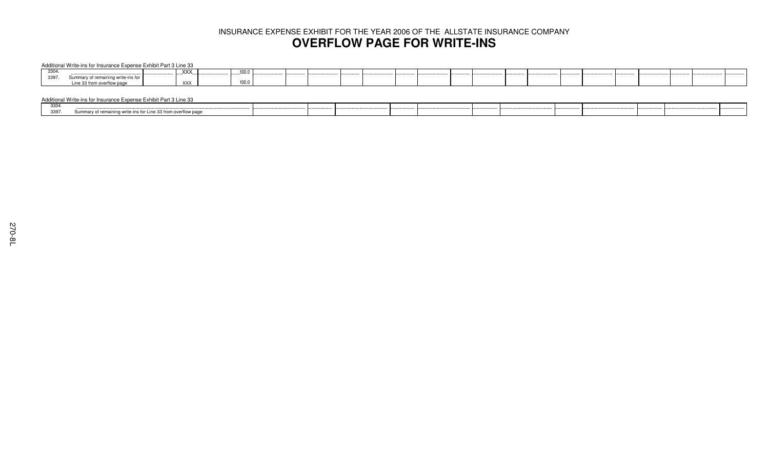## INSURANCE EXPENSE EXHIBIT FOR THE YEAR 2006 OF THE ALLSTATE INSURANCE COMPANY **OVERFLOW PAGE FOR WRITE-INS**

#### Additional Write-ins for Insurance Expense Exhibit Part 3 Line 33

| ---<br>ື |                 | <b>XXX</b> | $\sim$<br>               |  |  |  |  |  |  |
|----------|-----------------|------------|--------------------------|--|--|--|--|--|--|
| 3397     |                 |            |                          |  |  |  |  |  |  |
|          | 0.004<br>ow pag | XXX        | $\sim$ $\sim$ $\sim$<br> |  |  |  |  |  |  |

#### Additional Write-ins for Insurance Expense Exhibit Part 3 Line 33

| 220<br>ייטטט |                                                               |  |  |  |  |
|--------------|---------------------------------------------------------------|--|--|--|--|
| 3397.        | Summary of remaining write-ins for Line 33 from overflow page |  |  |  |  |